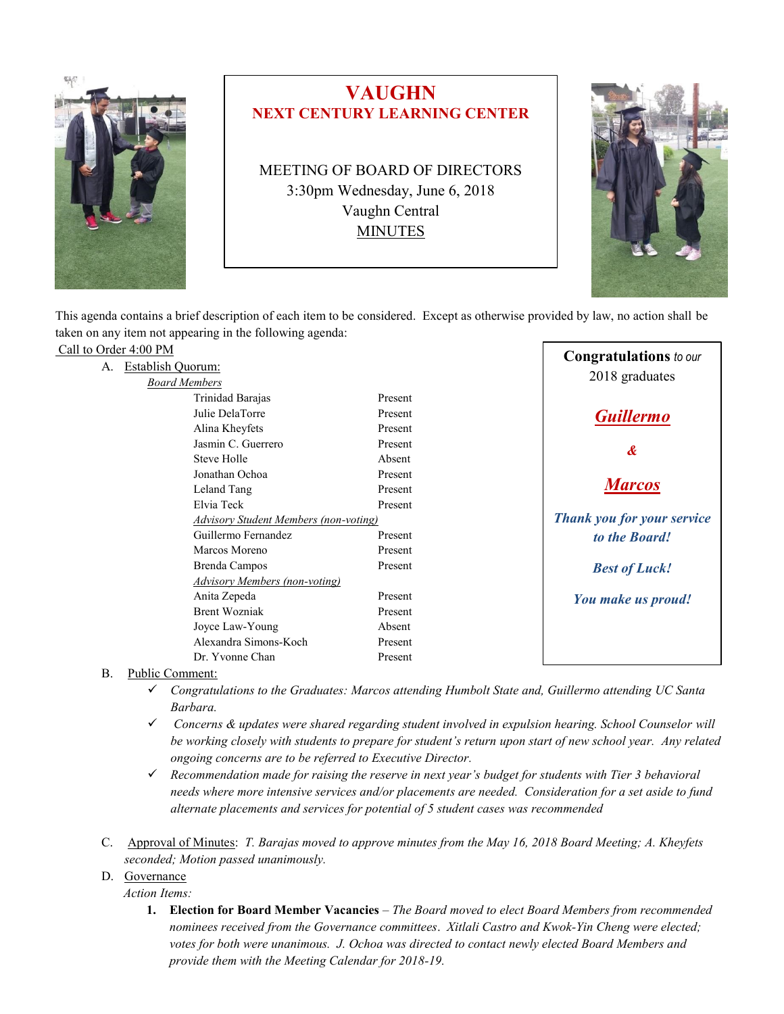

# **VAUGHN NEXT CENTURY LEARNING CENTER**

MEETING OF BOARD OF DIRECTORS 3:30pm Wednesday, June 6, 2018 Vaughn Central MINUTES



This agenda contains a brief description of each item to be considered. Except as otherwise provided by law, no action shall be taken on any item not appearing in the following agenda:

| A. Establish Quorum:<br>2018 graduates<br><b>Board Members</b><br>Trinidad Barajas<br>Present<br>Julie DelaTorre<br>Present<br><b>Guillermo</b><br>Alina Kheyfets<br>Present | Call to Order 4:00 PM |  |  | <b>Congratulations</b> to our |
|------------------------------------------------------------------------------------------------------------------------------------------------------------------------------|-----------------------|--|--|-------------------------------|
|                                                                                                                                                                              |                       |  |  |                               |
|                                                                                                                                                                              |                       |  |  |                               |
|                                                                                                                                                                              |                       |  |  |                               |
|                                                                                                                                                                              |                       |  |  |                               |
|                                                                                                                                                                              |                       |  |  |                               |
| Jasmin C. Guerrero<br>Present<br>$\boldsymbol{\mathcal{X}}$                                                                                                                  |                       |  |  |                               |
| Steve Holle<br>Absent                                                                                                                                                        |                       |  |  |                               |
| Jonathan Ochoa<br>Present                                                                                                                                                    |                       |  |  |                               |
| <b>Marcos</b><br>Leland Tang<br>Present                                                                                                                                      |                       |  |  |                               |
| Elvia Teck<br>Present                                                                                                                                                        |                       |  |  |                               |
| Thank you for your service<br>Advisory Student Members (non-voting)                                                                                                          |                       |  |  |                               |
| Guillermo Fernandez<br>Present<br>to the Board!                                                                                                                              |                       |  |  |                               |
| Marcos Moreno<br>Present                                                                                                                                                     |                       |  |  |                               |
| Brenda Campos<br>Present<br><b>Best of Luck!</b>                                                                                                                             |                       |  |  |                               |
| Advisory Members (non-voting)                                                                                                                                                |                       |  |  |                               |
| Anita Zepeda<br>Present<br>You make us proud!                                                                                                                                |                       |  |  |                               |
| <b>Brent Wozniak</b><br>Present                                                                                                                                              |                       |  |  |                               |
| Joyce Law-Young<br>Absent                                                                                                                                                    |                       |  |  |                               |
| Alexandra Simons-Koch<br>Present                                                                                                                                             |                       |  |  |                               |
| Dr. Yvonne Chan<br>Present                                                                                                                                                   |                       |  |  |                               |

B. Public Comment:

- ✓ *Congratulations to the Graduates: Marcos attending Humbolt State and, Guillermo attending UC Santa Barbara.*
- ✓ *Concerns & updates were shared regarding student involved in expulsion hearing. School Counselor will be working closely with students to prepare for student's return upon start of new school year. Any related ongoing concerns are to be referred to Executive Director.*
- ✓ *Recommendation made for raising the reserve in next year's budget for students with Tier 3 behavioral needs where more intensive services and/or placements are needed. Consideration for a set aside to fund alternate placements and services for potential of 5 student cases was recommended*
- C. Approval of Minutes: *T. Barajas moved to approve minutes from the May 16, 2018 Board Meeting; A. Kheyfets seconded; Motion passed unanimously.*
- D. Governance

*Action Items:*

**1. Election for Board Member Vacancies** *– The Board moved to elect Board Members from recommended nominees received from the Governance committees*. *Xitlali Castro and Kwok-Yin Cheng were elected; votes for both were unanimous. J. Ochoa was directed to contact newly elected Board Members and provide them with the Meeting Calendar for 2018-19.*